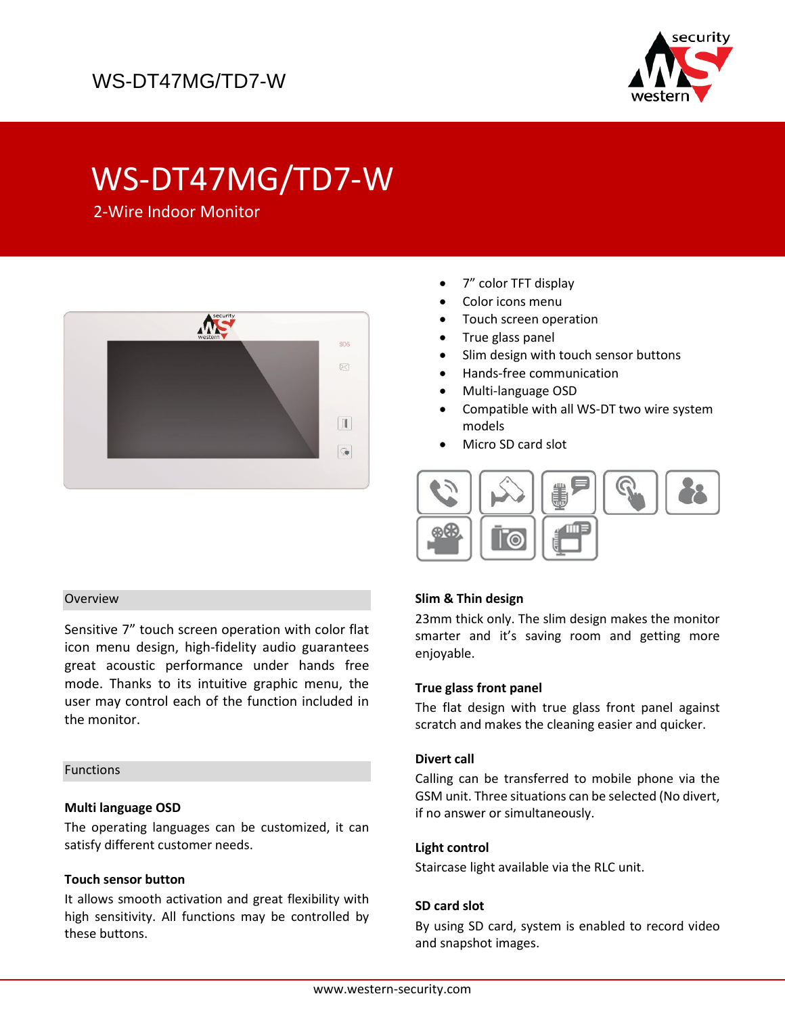

# WS-DT47MG/TD7-W

2-Wire Indoor Monitor



## Overview

Sensitive 7" touch screen operation with color flat icon menu design, high-fidelity audio guarantees great acoustic performance under hands free mode. Thanks to its intuitive graphic menu, the user may control each of the function included in the monitor.

#### Functions

## **Multi language OSD**

The operating languages can be customized, it can satisfy different customer needs.

## **Touch sensor button**

It allows smooth activation and great flexibility with high sensitivity. All functions may be controlled by these buttons.

- 7" color TFT display
- Color icons menu
- Touch screen operation
- True glass panel
- Slim design with touch sensor buttons
- Hands-free communication
- Multi-language OSD
- Compatible with all WS-DT two wire system models
- Micro SD card slot



## **Slim & Thin design**

23mm thick only. The slim design makes the monitor smarter and it's saving room and getting more enjoyable.

## **True glass front panel**

The flat design with true glass front panel against scratch and makes the cleaning easier and quicker.

#### **Divert call**

Calling can be transferred to mobile phone via the GSM unit. Three situations can be selected (No divert, if no answer or simultaneously.

#### **Light control**

Staircase light available via the RLC unit.

#### **SD card slot**

By using SD card, system is enabled to record video and snapshot images.